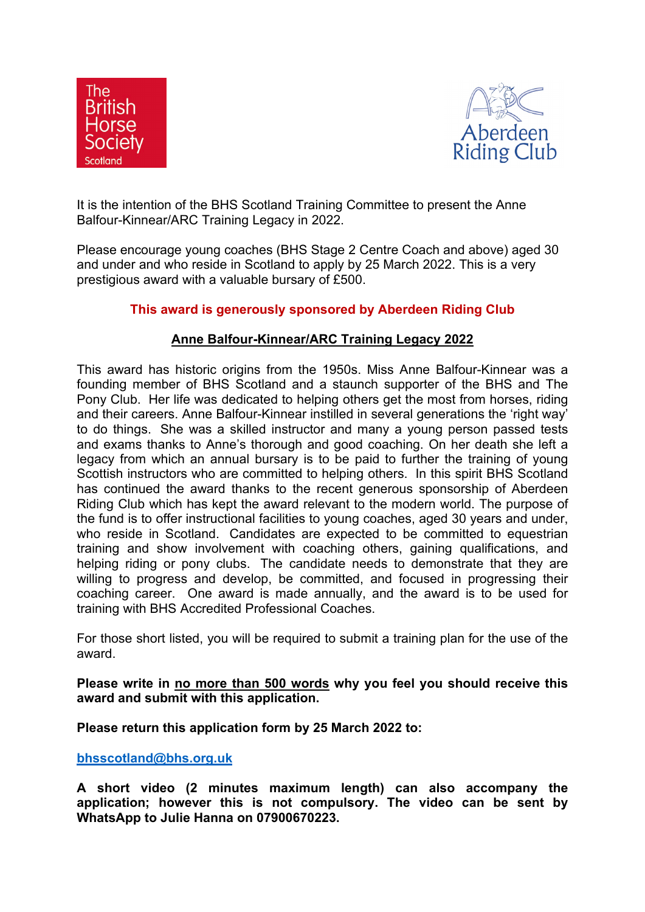



It is the intention of the BHS Scotland Training Committee to present the Anne Balfour-Kinnear/ARC Training Legacy in 2022.

Please encourage young coaches (BHS Stage 2 Centre Coach and above) aged 30 and under and who reside in Scotland to apply by 25 March 2022. This is a very prestigious award with a valuable bursary of £500.

## **This award is generously sponsored by Aberdeen Riding Club**

## **Anne Balfour-Kinnear/ARC Training Legacy 2022**

This award has historic origins from the 1950s. Miss Anne Balfour-Kinnear was a founding member of BHS Scotland and a staunch supporter of the BHS and The Pony Club. Her life was dedicated to helping others get the most from horses, riding and their careers. Anne Balfour-Kinnear instilled in several generations the 'right way' to do things. She was a skilled instructor and many a young person passed tests and exams thanks to Anne's thorough and good coaching. On her death she left a legacy from which an annual bursary is to be paid to further the training of young Scottish instructors who are committed to helping others. In this spirit BHS Scotland has continued the award thanks to the recent generous sponsorship of Aberdeen Riding Club which has kept the award relevant to the modern world. The purpose of the fund is to offer instructional facilities to young coaches, aged 30 years and under, who reside in Scotland. Candidates are expected to be committed to equestrian training and show involvement with coaching others, gaining qualifications, and helping riding or pony clubs. The candidate needs to demonstrate that they are willing to progress and develop, be committed, and focused in progressing their coaching career. One award is made annually, and the award is to be used for training with BHS Accredited Professional Coaches.

For those short listed, you will be required to submit a training plan for the use of the award.

**Please write in no more than 500 words why you feel you should receive this award and submit with this application.**

**Please return this application form by 25 March 2022 to:**

**[bhsscotland@bhs.org.uk](mailto:bhsscotland@bhs.org.uk)**

**A short video (2 minutes maximum length) can also accompany the application; however this is not compulsory. The video can be sent by WhatsApp to Julie Hanna on 07900670223.**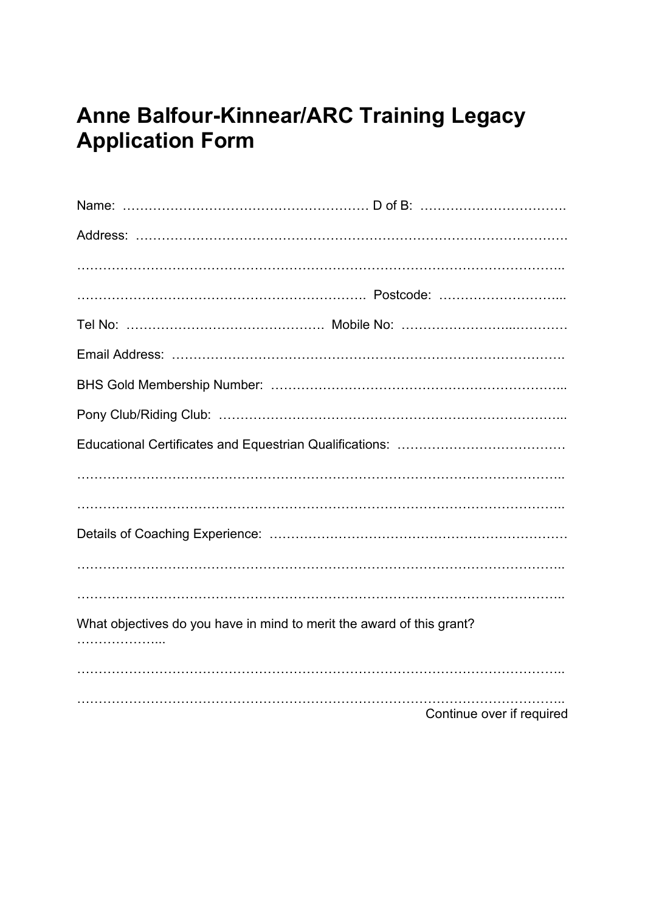## **Anne Balfour-Kinnear/ARC Training Legacy Application Form**

| What objectives do you have in mind to merit the award of this grant? |                           |
|-----------------------------------------------------------------------|---------------------------|
| .                                                                     |                           |
|                                                                       |                           |
|                                                                       | Continue over if required |